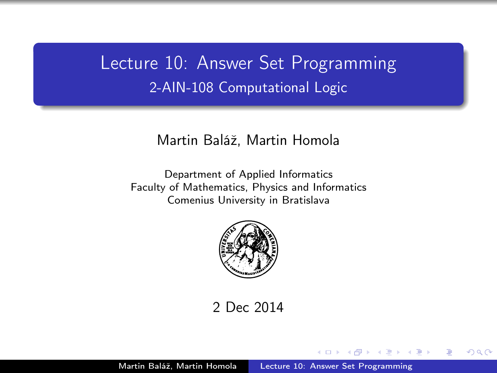# <span id="page-0-0"></span>Lecture 10: Answer Set Programming 2-AIN-108 Computational Logic

### Martin Baláž, Martin Homola

Department of Applied Informatics Faculty of Mathematics, Physics and Informatics Comenius University in Bratislava



2 Dec 2014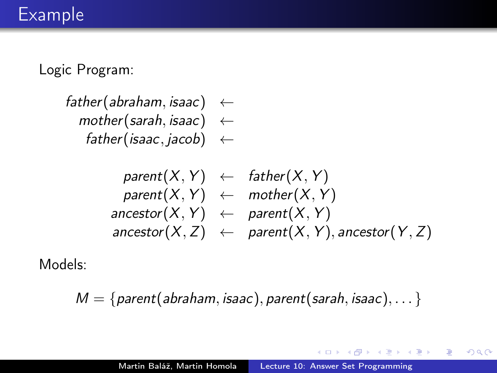# Example

Logic Program:

father(abraham, isaac)  $\leftarrow$  $mother(sarah, isaac) \leftarrow$ father(isaac, jacob)  $\leftarrow$ 

$$
parent(X, Y) \leftarrow father(X, Y)
$$
\n
$$
parent(X, Y) \leftarrow mother(X, Y)
$$
\n
$$
ancestor(X, Y) \leftarrow parent(X, Y)
$$
\n
$$
ancestor(X, Z) \leftarrow parent(X, Y), ancestor(Y, Z)
$$

Models:

$$
M = \{parent(abraham, isaac), parent(sarah, isaac), \ldots\}
$$

 $\overline{a}$ 

E

重  $\mathbb{R}^n$ э  $\,$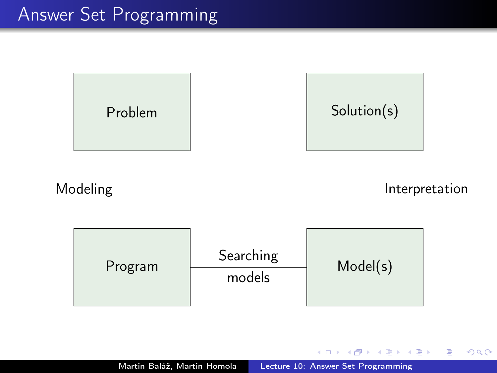

4 0 8

石  $\sim$ 4 国 国

 $\leftarrow \mathbb{B}$ 

Þ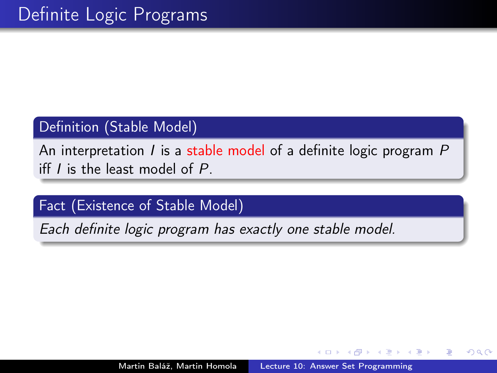## Definition (Stable Model)

An interpretation  $I$  is a stable model of a definite logic program  $P$ iff  $I$  is the least model of  $P$ .

# Fact (Existence of Stable Model)

Each definite logic program has exactly one stable model.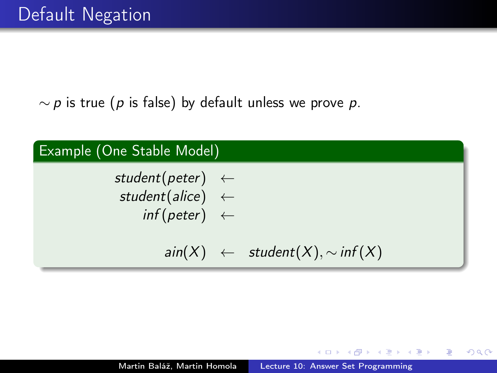$\sim p$  is true (p is false) by default unless we prove p.



伊 ▶ ( ヨ ) ( ヨ )

 $\Omega$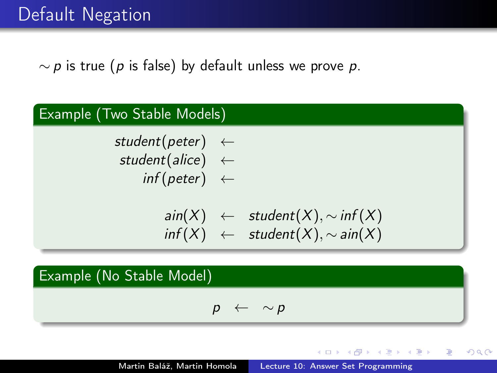$\sim p$  is true (p is false) by default unless we prove p.



$$
p \ \leftarrow \ \sim p
$$

④ イラン イミン イラン

 $\Omega$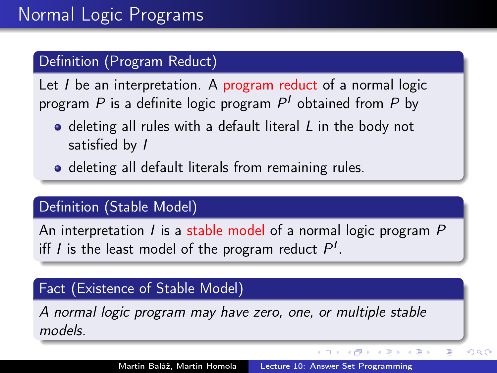# Definition (Program Reduct)

Let  $I$  be an interpretation. A program reduct of a normal logic program  $P$  is a definite logic program  $P^{\prime}$  obtained from  $P$  by

- $\bullet$  deleting all rules with a default literal L in the body not satisfied by I
- deleting all default literals from remaining rules.

### Definition (Stable Model)

An interpretation I is a stable model of a normal logic program  $P$ iff *I* is the least model of the program reduct  $P^{I}$ .

## Fact (Existence of Stable Model)

A normal logic program may have zero, one, or multiple stable models.

K ロ ▶ K 御 ▶ K 君 ▶ K 君 ▶

 $QQ$ 

э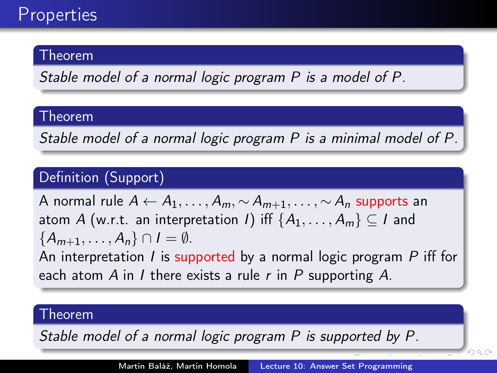## Theorem

Stable model of a normal logic program P is a model of P.

### Theorem

Stable model of a normal logic program P is a minimal model of P.

# Definition (Support)

A normal rule  $A \leftarrow A_1, \ldots, A_m, \sim A_{m+1}, \ldots, \sim A_n$  supports an atom A (w.r.t. an interpretation I) iff  $\{A_1, \ldots, A_m\} \subset I$  and  ${A_{m+1}, \ldots, A_n} \cap I = \emptyset$ .

An interpretation I is supported by a normal logic program  $P$  iff for each atom A in I there exists a rule  $r$  in P supporting A.

### Theorem

Stable model of a normal logic program P is supported by P.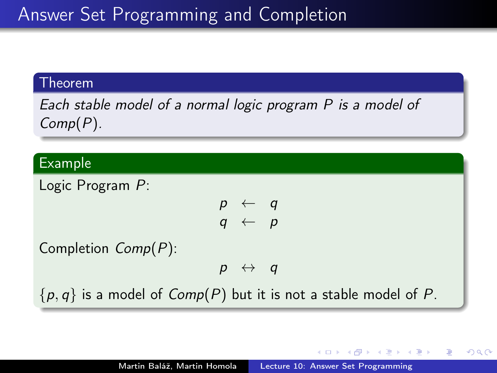# Answer Set Programming and Completion

#### Theorem

Each stable model of a normal logic program P is a model of Comp(P).

### Example

Logic Program P:  $p \leftarrow q$  $q \leftarrow p$ Completion Comp(P):  $p \leftrightarrow q$  $\{p, q\}$  is a model of  $Comp(P)$  but it is not a stable model of P.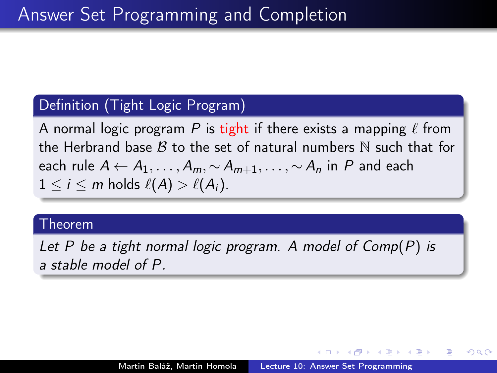## Definition (Tight Logic Program)

A normal logic program P is tight if there exists a mapping  $\ell$  from the Herbrand base  $\beta$  to the set of natural numbers N such that for each rule  $A \leftarrow A_1, \ldots, A_m \sim A_{m+1}, \ldots, \sim A_n$  in P and each  $1 \leq i \leq m$  holds  $\ell(A) > \ell(A_i)$ .

#### Theorem

Let P be a tight normal logic program. A model of Comp(P) is a stable model of P.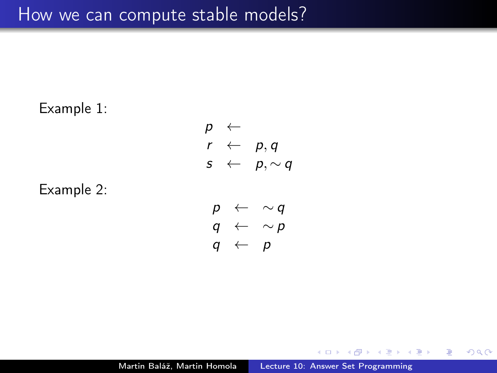# How we can compute stable models?

Example 1:  $p \leftarrow$  $r \leftarrow p, q$  $s \leftarrow p, \sim q$ Example 2:  $p \leftarrow \sim q$  $q \leftarrow \sim p$ 

$$
q \leftarrow p
$$

Martin Baláž, Martin Homola | [Lecture 10: Answer Set Programming](#page-0-0)

 $299$ 

э

頂 下 重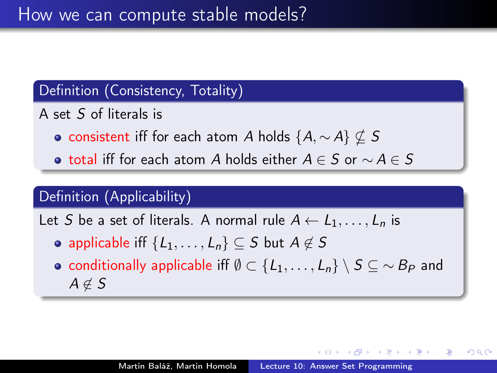# Definition (Consistency, Totality)

- A set S of literals is
	- consistent iff for each atom A holds  $\{A, \sim A\} \nsubseteq S$
	- total iff for each atom A holds either  $A \in S$  or  $\sim A \in S$

# Definition (Applicability)

Let S be a set of literals. A normal rule  $A \leftarrow L_1, \ldots, L_n$  is

- applicable iff  $\{L_1, \ldots, L_n\} \subset S$  but  $A \notin S$
- conditionally applicable iff  $\emptyset \subset \{L_1, \ldots, L_n\} \setminus S \subseteq \sim B_P$  and  $A \notin S$